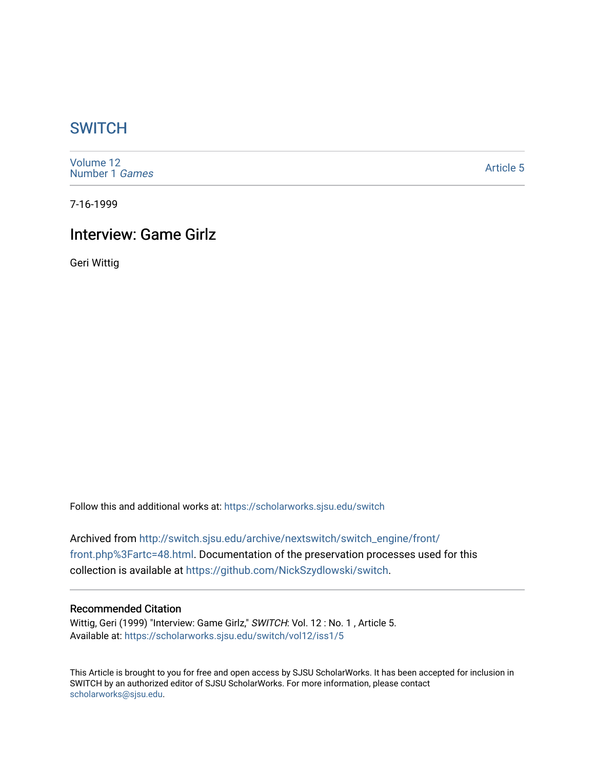## **SWITCH**

[Volume 12](https://scholarworks.sjsu.edu/switch/vol12) [Number 1](https://scholarworks.sjsu.edu/switch/vol12/iss1) Games

[Article 5](https://scholarworks.sjsu.edu/switch/vol12/iss1/5) 

7-16-1999

## Interview: Game Girlz

Geri Wittig

Follow this and additional works at: [https://scholarworks.sjsu.edu/switch](https://scholarworks.sjsu.edu/switch?utm_source=scholarworks.sjsu.edu%2Fswitch%2Fvol12%2Fiss1%2F5&utm_medium=PDF&utm_campaign=PDFCoverPages)

Archived from [http://switch.sjsu.edu/archive/nextswitch/switch\\_engine/front/](http://switch.sjsu.edu/archive/nextswitch/switch_engine/front/front.php%3Fartc=48.html) [front.php%3Fartc=48.html](http://switch.sjsu.edu/archive/nextswitch/switch_engine/front/front.php%3Fartc=48.html). Documentation of the preservation processes used for this collection is available at [https://github.com/NickSzydlowski/switch.](https://github.com/NickSzydlowski/switch)

## Recommended Citation

Wittig, Geri (1999) "Interview: Game Girlz," SWITCH: Vol. 12 : No. 1, Article 5. Available at: [https://scholarworks.sjsu.edu/switch/vol12/iss1/5](https://scholarworks.sjsu.edu/switch/vol12/iss1/5?utm_source=scholarworks.sjsu.edu%2Fswitch%2Fvol12%2Fiss1%2F5&utm_medium=PDF&utm_campaign=PDFCoverPages) 

This Article is brought to you for free and open access by SJSU ScholarWorks. It has been accepted for inclusion in SWITCH by an authorized editor of SJSU ScholarWorks. For more information, please contact [scholarworks@sjsu.edu](mailto:scholarworks@sjsu.edu).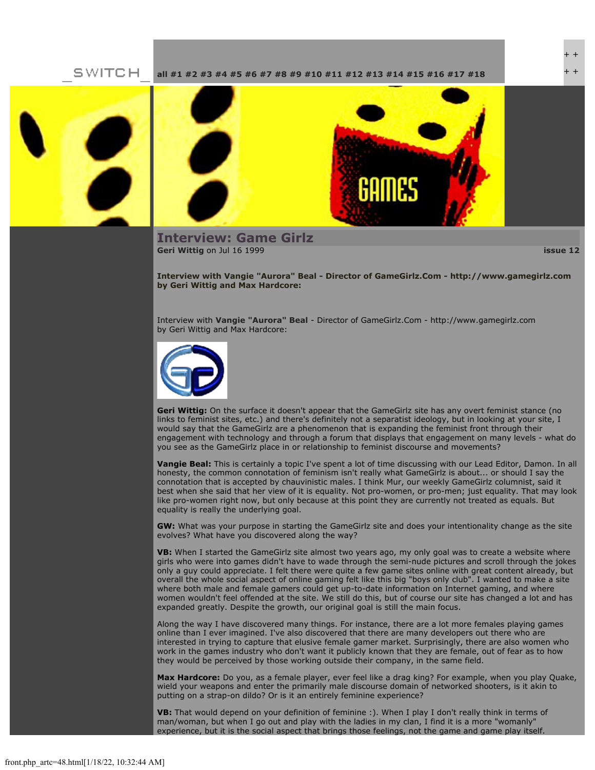SWITCH **[all](file:///Users/nszydlowski/Desktop/websites%20copy/Switch%20Journal/switch.sjsu.edu/archive/nextswitch/switch_engine/front/front.php.html) [#1](file:///Users/nszydlowski/Desktop/websites%20copy/Switch%20Journal/switch.sjsu.edu/archive/nextswitch/switch_engine/front/front.php_cat%3d5.html) [#2](file:///Users/nszydlowski/Desktop/websites%20copy/Switch%20Journal/switch.sjsu.edu/archive/nextswitch/switch_engine/front/front.php_cat%3d6.html) [#3](file:///Users/nszydlowski/Desktop/websites%20copy/Switch%20Journal/switch.sjsu.edu/archive/nextswitch/switch_engine/front/front.php_cat%3d7.html) [#4](file:///Users/nszydlowski/Desktop/websites%20copy/Switch%20Journal/switch.sjsu.edu/archive/nextswitch/switch_engine/front/front.php_cat%3d8.html) [#5](file:///Users/nszydlowski/Desktop/websites%20copy/Switch%20Journal/switch.sjsu.edu/archive/nextswitch/switch_engine/front/front.php_cat%3d9.html) [#6](file:///Users/nszydlowski/Desktop/websites%20copy/Switch%20Journal/switch.sjsu.edu/archive/nextswitch/switch_engine/front/front.php_cat%3d10.html) [#7](file:///Users/nszydlowski/Desktop/websites%20copy/Switch%20Journal/switch.sjsu.edu/archive/nextswitch/switch_engine/front/front.php_cat%3d11.html) [#8](file:///Users/nszydlowski/Desktop/websites%20copy/Switch%20Journal/switch.sjsu.edu/archive/nextswitch/switch_engine/front/front.php_cat%3d12.html) [#9](file:///Users/nszydlowski/Desktop/websites%20copy/Switch%20Journal/switch.sjsu.edu/archive/nextswitch/switch_engine/front/front.php_cat%3d13.html) [#10](file:///Users/nszydlowski/Desktop/websites%20copy/Switch%20Journal/switch.sjsu.edu/archive/nextswitch/switch_engine/front/front.php_cat%3d14.html) [#11](file:///Users/nszydlowski/Desktop/websites%20copy/Switch%20Journal/switch.sjsu.edu/archive/nextswitch/switch_engine/front/front.php_cat%3d15.html) [#12](file:///Users/nszydlowski/Desktop/websites%20copy/Switch%20Journal/switch.sjsu.edu/archive/nextswitch/switch_engine/front/front.php_cat%3d16.html) [#13](file:///Users/nszydlowski/Desktop/websites%20copy/Switch%20Journal/switch.sjsu.edu/archive/nextswitch/switch_engine/front/front.php_cat%3d17.html) [#14](file:///Users/nszydlowski/Desktop/websites%20copy/Switch%20Journal/switch.sjsu.edu/archive/nextswitch/switch_engine/front/front.php_cat%3d18.html) [#15](file:///Users/nszydlowski/Desktop/websites%20copy/Switch%20Journal/switch.sjsu.edu/archive/nextswitch/switch_engine/front/front.php_cat%3d19.html) [#16](file:///Users/nszydlowski/Desktop/websites%20copy/Switch%20Journal/switch.sjsu.edu/archive/nextswitch/switch_engine/front/front.php_cat%3d20.html) [#17](file:///Users/nszydlowski/Desktop/websites%20copy/Switch%20Journal/switch.sjsu.edu/archive/nextswitch/switch_engine/front/front.php_cat%3d21.html) [#18](file:///Users/nszydlowski/Desktop/websites%20copy/Switch%20Journal/switch.sjsu.edu/archive/nextswitch/switch_engine/front/front.php_cat%3d44.html)**



**Interview: Game Girlz [Geri Wittig](file:///Users/nszydlowski/Desktop/websites%20copy/Switch%20Journal/switch.sjsu.edu/archive/nextswitch/switch_engine/front/users.php_w%3d34.html)** on Jul 16 1999 **[issue 12](file:///Users/nszydlowski/Desktop/websites%20copy/Switch%20Journal/switch.sjsu.edu/archive/nextswitch/switch_engine/front/front.php_cat%3d16.html)**



+ + + +

**Interview with Vangie "Aurora" Beal - Director of GameGirlz.Com - http://www.gamegirlz.com by Geri Wittig and Max Hardcore:**

Interview with **[Vangie "Aurora" Beal](file:///Users/nszydlowski/Desktop/websites%20copy/Switch%20Journal/switch.sjsu.edu/archive/nextswitch/switch_engine/front/front.php_artc%3d48.html#bio)** - Director of GameGirlz.Com - http://www.gamegirlz.com by Geri Wittig and Max Hardcore:



**Geri Wittig:** On the surface it doesn't appear that the GameGirlz site has any overt feminist stance (no links to feminist sites, etc.) and there's definitely not a separatist ideology, but in looking at your site, I would say that the GameGirlz are a phenomenon that is expanding the feminist front through their engagement with technology and through a forum that displays that engagement on many levels - what do you see as the GameGirlz place in or relationship to feminist discourse and movements?

**Vangie Beal:** This is certainly a topic I've spent a lot of time discussing with our Lead Editor, Damon. In all honesty, the common connotation of feminism isn't really what GameGirlz is about... or should I say the connotation that is accepted by chauvinistic males. I think Mur, our weekly GameGirlz columnist, said it best when she said that her view of it is equality. Not pro-women, or pro-men; just equality. That may look like pro-women right now, but only because at this point they are currently not treated as equals. But equality is really the underlying goal.

**GW:** What was your purpose in starting the GameGirlz site and does your intentionality change as the site evolves? What have you discovered along the way?

**VB:** When I started the GameGirlz site almost two years ago, my only goal was to create a website where girls who were into games didn't have to wade through the semi-nude pictures and scroll through the jokes only a guy could appreciate. I felt there were quite a few game sites online with great content already, but overall the whole social aspect of online gaming felt like this big "boys only club". I wanted to make a site where both male and female gamers could get up-to-date information on Internet gaming, and where women wouldn't feel offended at the site. We still do this, but of course our site has changed a lot and has expanded greatly. Despite the growth, our original goal is still the main focus.

Along the way I have discovered many things. For instance, there are a lot more females playing games online than I ever imagined. I've also discovered that there are many developers out there who are interested in trying to capture that elusive female gamer market. Surprisingly, there are also women who work in the games industry who don't want it publicly known that they are female, out of fear as to how they would be perceived by those working outside their company, in the same field.

**Max Hardcore:** Do you, as a female player, ever feel like a drag king? For example, when you play Quake, wield your weapons and enter the primarily male discourse domain of networked shooters, is it akin to putting on a strap-on dildo? Or is it an entirely feminine experience?

**VB:** That would depend on your definition of feminine :). When I play I don't really think in terms of man/woman, but when I go out and play with the ladies in my clan, I find it is a more "womanly" experience, but it is the social aspect that brings those feelings, not the game and game play itself.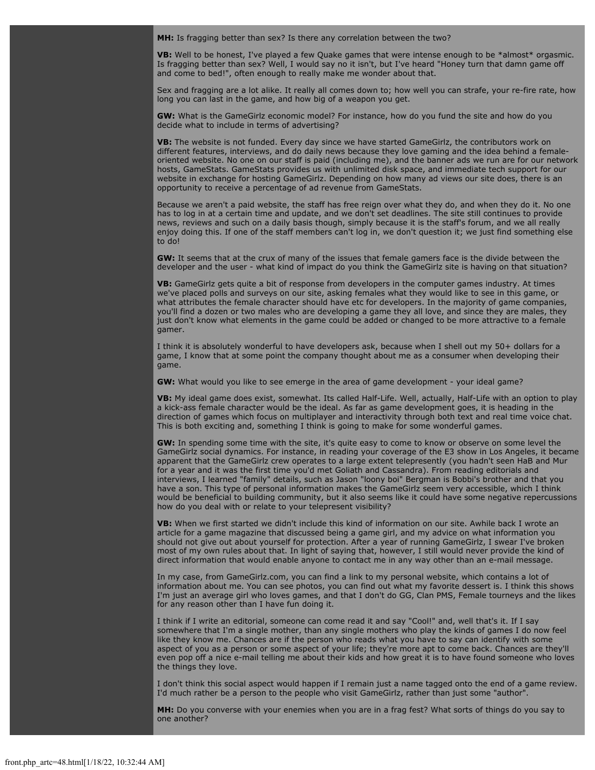**MH:** Is fragging better than sex? Is there any correlation between the two?

**VB:** Well to be honest, I've played a few Quake games that were intense enough to be \*almost\* orgasmic. Is fragging better than sex? Well, I would say no it isn't, but I've heard "Honey turn that damn game off and come to bed!", often enough to really make me wonder about that.

Sex and fragging are a lot alike. It really all comes down to; how well you can strafe, your re-fire rate, how long you can last in the game, and how big of a weapon you get.

**GW:** What is the GameGirlz economic model? For instance, how do you fund the site and how do you decide what to include in terms of advertising?

**VB:** The website is not funded. Every day since we have started GameGirlz, the contributors work on different features, interviews, and do daily news because they love gaming and the idea behind a femaleoriented website. No one on our staff is paid (including me), and the banner ads we run are for our network hosts, GameStats. GameStats provides us with unlimited disk space, and immediate tech support for our website in exchange for hosting GameGirlz. Depending on how many ad views our site does, there is an opportunity to receive a percentage of ad revenue from GameStats.

Because we aren't a paid website, the staff has free reign over what they do, and when they do it. No one has to log in at a certain time and update, and we don't set deadlines. The site still continues to provide news, reviews and such on a daily basis though, simply because it is the staff's forum, and we all really enjoy doing this. If one of the staff members can't log in, we don't question it; we just find something else to do!

**GW:** It seems that at the crux of many of the issues that female gamers face is the divide between the developer and the user - what kind of impact do you think the GameGirlz site is having on that situation?

**VB:** GameGirlz gets quite a bit of response from developers in the computer games industry. At times we've placed polls and surveys on our site, asking females what they would like to see in this game, or what attributes the female character should have etc for developers. In the majority of game companies, you'll find a dozen or two males who are developing a game they all love, and since they are males, they just don't know what elements in the game could be added or changed to be more attractive to a female gamer.

I think it is absolutely wonderful to have developers ask, because when I shell out my 50+ dollars for a game, I know that at some point the company thought about me as a consumer when developing their game.

**GW:** What would you like to see emerge in the area of game development - your ideal game?

**VB:** My ideal game does exist, somewhat. Its called Half-Life. Well, actually, Half-Life with an option to play a kick-ass female character would be the ideal. As far as game development goes, it is heading in the direction of games which focus on multiplayer and interactivity through both text and real time voice chat. This is both exciting and, something I think is going to make for some wonderful games.

**GW:** In spending some time with the site, it's quite easy to come to know or observe on some level the GameGirlz social dynamics. For instance, in reading your coverage of the E3 show in Los Angeles, it became apparent that the GameGirlz crew operates to a large extent telepresently (you hadn't seen HaB and Mur for a year and it was the first time you'd met Goliath and Cassandra). From reading editorials and interviews, I learned "family" details, such as Jason "loony boi" Bergman is Bobbi's brother and that you have a son. This type of personal information makes the GameGirlz seem very accessible, which I think would be beneficial to building community, but it also seems like it could have some negative repercussions how do you deal with or relate to your telepresent visibility?

**VB:** When we first started we didn't include this kind of information on our site. Awhile back I wrote an article for a game magazine that discussed being a game girl, and my advice on what information you should not give out about yourself for protection. After a year of running GameGirlz, I swear I've broken most of my own rules about that. In light of saying that, however, I still would never provide the kind of direct information that would enable anyone to contact me in any way other than an e-mail message.

In my case, from GameGirlz.com, you can find a link to my personal website, which contains a lot of information about me. You can see photos, you can find out what my favorite dessert is. I think this shows I'm just an average girl who loves games, and that I don't do GG, Clan PMS, Female tourneys and the likes for any reason other than I have fun doing it.

I think if I write an editorial, someone can come read it and say "Cool!" and, well that's it. If I say somewhere that I'm a single mother, than any single mothers who play the kinds of games I do now feel like they know me. Chances are if the person who reads what you have to say can identify with some aspect of you as a person or some aspect of your life; they're more apt to come back. Chances are they'll even pop off a nice e-mail telling me about their kids and how great it is to have found someone who loves the things they love.

I don't think this social aspect would happen if I remain just a name tagged onto the end of a game review. I'd much rather be a person to the people who visit GameGirlz, rather than just some "author".

**MH:** Do you converse with your enemies when you are in a frag fest? What sorts of things do you say to one another?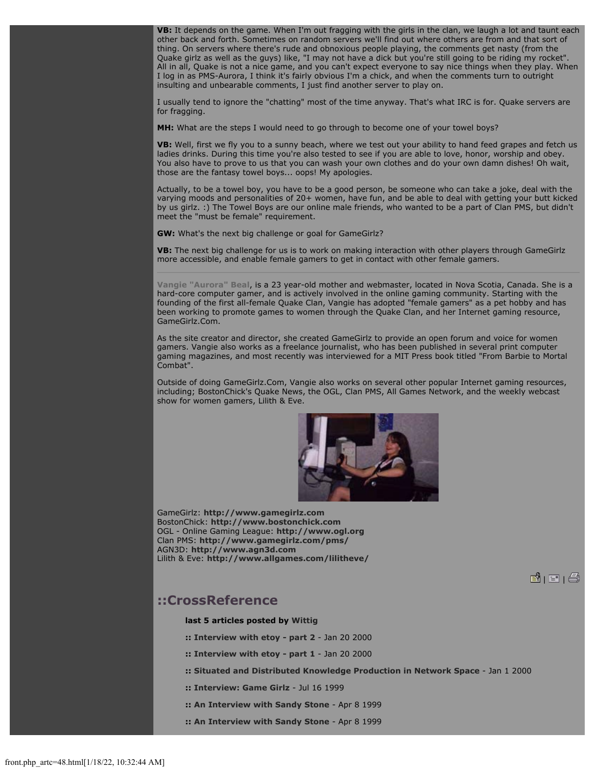**VB:** It depends on the game. When I'm out fragging with the girls in the clan, we laugh a lot and taunt each other back and forth. Sometimes on random servers we'll find out where others are from and that sort of thing. On servers where there's rude and obnoxious people playing, the comments get nasty (from the Quake girlz as well as the guys) like, "I may not have a dick but you're still going to be riding my rocket". All in all, Quake is not a nice game, and you can't expect everyone to say nice things when they play. When I log in as PMS-Aurora, I think it's fairly obvious I'm a chick, and when the comments turn to outright insulting and unbearable comments, I just find another server to play on.

I usually tend to ignore the "chatting" most of the time anyway. That's what IRC is for. Quake servers are for fragging.

**MH:** What are the steps I would need to go through to become one of your towel boys?

**VB:** Well, first we fly you to a sunny beach, where we test out your ability to hand feed grapes and fetch us ladies drinks. During this time you're also tested to see if you are able to love, honor, worship and obey. You also have to prove to us that you can wash your own clothes and do your own damn dishes! Oh wait, those are the fantasy towel boys... oops! My apologies.

Actually, to be a towel boy, you have to be a good person, be someone who can take a joke, deal with the varying moods and personalities of 20+ women, have fun, and be able to deal with getting your butt kicked by us girlz. :) The Towel Boys are our online male friends, who wanted to be a part of Clan PMS, but didn't meet the "must be female" requirement.

**GW:** What's the next big challenge or goal for GameGirlz?

**VB:** The next big challenge for us is to work on making interaction with other players through GameGirlz more accessible, and enable female gamers to get in contact with other female gamers.

**Vangie "Aurora" Beal**, is a 23 year-old mother and webmaster, located in Nova Scotia, Canada. She is a hard-core computer gamer, and is actively involved in the online gaming community. Starting with the founding of the first all-female Quake Clan, Vangie has adopted "female gamers" as a pet hobby and has been working to promote games to women through the Quake Clan, and her Internet gaming resource, GameGirlz.Com.

As the site creator and director, she created GameGirlz to provide an open forum and voice for women gamers. Vangie also works as a freelance journalist, who has been published in several print computer gaming magazines, and most recently was interviewed for a MIT Press book titled "From Barbie to Mortal Combat".

Outside of doing GameGirlz.Com, Vangie also works on several other popular Internet gaming resources, including; BostonChick's Quake News, the OGL, Clan PMS, All Games Network, and the weekly webcast show for women gamers, Lilith & Eve.



**B**| E |  $\oplus$ 

GameGirlz: **[http://www.gamegirlz.com](http://www.gamegirlz.com/)** BostonChick: **[http://www.bostonchick.com](http://www.bostonchick.com/)** OGL - Online Gaming League: **[http://www.ogl.org](http://www.ogl.org/)** Clan PMS: **<http://www.gamegirlz.com/pms/>** AGN3D: **[http://www.agn3d.com](http://www.agn3d.com/)** Lilith & Eve: **<http://www.allgames.com/lilitheve/>**

**::CrossReference**

## **last 5 articles posted by [Wittig](file:///Users/nszydlowski/Desktop/websites%20copy/Switch%20Journal/switch.sjsu.edu/archive/nextswitch/switch_engine/front/users.php_w%3d34.html)**

- **:: [Interview with etoy part 2](file:///Users/nszydlowski/Desktop/websites%20copy/Switch%20Journal/switch.sjsu.edu/archive/nextswitch/switch_engine/front/front.php_artc%3d249.html)** Jan 20 2000
- **:: [Interview with etoy part 1](file:///Users/nszydlowski/Desktop/websites%20copy/Switch%20Journal/switch.sjsu.edu/archive/nextswitch/switch_engine/front/front.php_artc%3d248.html)** Jan 20 2000
- **:: [Situated and Distributed Knowledge Production in Network Space](file:///Users/nszydlowski/Desktop/websites%20copy/Switch%20Journal/switch.sjsu.edu/archive/nextswitch/switch_engine/front/front.php_artc%3d39.html)** Jan 1 2000
- **:: [Interview: Game Girlz](file:///Users/nszydlowski/Desktop/websites%20copy/Switch%20Journal/switch.sjsu.edu/archive/nextswitch/switch_engine/front/front.php_artc%3d48.html)** Jul 16 1999
- **:: [An Interview with Sandy Stone](file:///Users/nszydlowski/Desktop/websites%20copy/Switch%20Journal/switch.sjsu.edu/archive/nextswitch/switch_engine/front/front.php_artc%3d254.html)** Apr 8 1999
- **:: [An Interview with Sandy Stone](file:///Users/nszydlowski/Desktop/websites%20copy/Switch%20Journal/switch.sjsu.edu/archive/nextswitch/switch_engine/front/front.php_artc%3d253.html)** Apr 8 1999